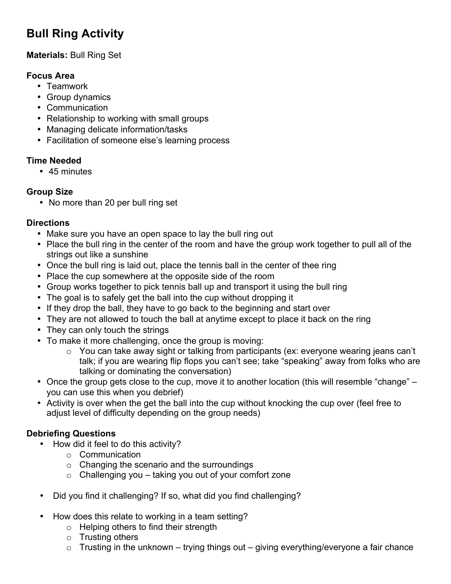# **Bull Ring Activity**

# **Materials:** Bull Ring Set

### **Focus Area**

- Teamwork
- Group dynamics
- Communication
- Relationship to working with small groups
- Managing delicate information/tasks
- Facilitation of someone else's learning process

# **Time Needed**

• 45 minutes

# **Group Size**

• No more than 20 per bull ring set

# **Directions**

- Make sure you have an open space to lay the bull ring out
- Place the bull ring in the center of the room and have the group work together to pull all of the strings out like a sunshine
- Once the bull ring is laid out, place the tennis ball in the center of thee ring
- Place the cup somewhere at the opposite side of the room
- Group works together to pick tennis ball up and transport it using the bull ring
- The goal is to safely get the ball into the cup without dropping it
- If they drop the ball, they have to go back to the beginning and start over
- They are not allowed to touch the ball at anytime except to place it back on the ring
- They can only touch the strings
- To make it more challenging, once the group is moving:
	- o You can take away sight or talking from participants (ex: everyone wearing jeans can't talk; if you are wearing flip flops you can't see; take "speaking" away from folks who are talking or dominating the conversation)
- Once the group gets close to the cup, move it to another location (this will resemble "change" you can use this when you debrief)
- Activity is over when the get the ball into the cup without knocking the cup over (feel free to adjust level of difficulty depending on the group needs)

# **Debriefing Questions**

- How did it feel to do this activity?
	- o Communication
	- o Changing the scenario and the surroundings
	- o Challenging you taking you out of your comfort zone
- Did you find it challenging? If so, what did you find challenging?
- How does this relate to working in a team setting?
	- o Helping others to find their strength
	- o Trusting others
	- $\circ$  Trusting in the unknown trying things out giving everything/everyone a fair chance